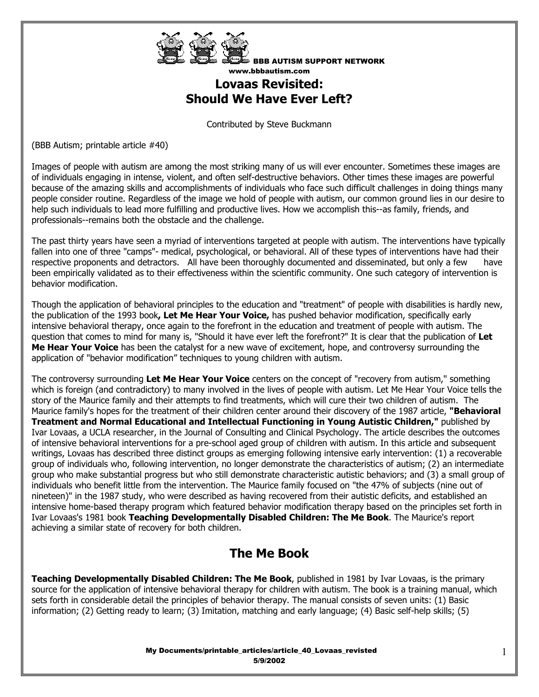

# **Lovaas Revisited: Should We Have Ever Left?**

Contributed by Steve Buckmann

(BBB Autism; printable article #40)

Images of people with autism are among the most striking many of us will ever encounter. Sometimes these images are of individuals engaging in intense, violent, and often self-destructive behaviors. Other times these images are powerful because of the amazing skills and accomplishments of individuals who face such difficult challenges in doing things many people consider routine. Regardless of the image we hold of people with autism, our common ground lies in our desire to help such individuals to lead more fulfilling and productive lives. How we accomplish this--as family, friends, and professionals--remains both the obstacle and the challenge.

The past thirty years have seen a myriad of interventions targeted at people with autism. The interventions have typically fallen into one of three "camps"- medical, psychological, or behavioral. All of these types of interventions have had their respective proponents and detractors. All have been thoroughly documented and disseminated, but only a few have been empirically validated as to their effectiveness within the scientific community. One such category of intervention is behavior modification.

Though the application of behavioral principles to the education and "treatment" of people with disabilities is hardly new, the publication of the 1993 book**, Let Me Hear Your Voice,** has pushed behavior modification, specifically early intensive behavioral therapy, once again to the forefront in the education and treatment of people with autism. The question that comes to mind for many is, "Should it have ever left the forefront?" It is clear that the publication of **Let Me Hear Your Voice** has been the catalyst for a new wave of excitement, hope, and controversy surrounding the application of "behavior modification" techniques to young children with autism.

The controversy surrounding **Let Me Hear Your Voice** centers on the concept of "recovery from autism," something which is foreign (and contradictory) to many involved in the lives of people with autism. Let Me Hear Your Voice tells the story of the Maurice family and their attempts to find treatments, which will cure their two children of autism. The Maurice family's hopes for the treatment of their children center around their discovery of the 1987 article, **"Behavioral Treatment and Normal Educational and Intellectual Functioning in Young Autistic Children,"** published by Ivar Lovaas, a UCLA researcher, in the Journal of Consulting and Clinical Psychology. The article describes the outcomes of intensive behavioral interventions for a pre-school aged group of children with autism. In this article and subsequent writings, Lovaas has described three distinct groups as emerging following intensive early intervention: (1) a recoverable group of individuals who, following intervention, no longer demonstrate the characteristics of autism; (2) an intermediate group who make substantial progress but who still demonstrate characteristic autistic behaviors; and (3) a small group of individuals who benefit little from the intervention. The Maurice family focused on "the 47% of subjects (nine out of nineteen)" in the 1987 study, who were described as having recovered from their autistic deficits, and established an intensive home-based therapy program which featured behavior modification therapy based on the principles set forth in Ivar Lovaas's 1981 book **Teaching Developmentally Disabled Children: The Me Book**. The Maurice's report achieving a similar state of recovery for both children.

# **The Me Book**

**Teaching Developmentally Disabled Children: The Me Book**, published in 1981 by Ivar Lovaas, is the primary source for the application of intensive behavioral therapy for children with autism. The book is a training manual, which sets forth in considerable detail the principles of behavior therapy. The manual consists of seven units: (1) Basic information; (2) Getting ready to learn; (3) Imitation, matching and early language; (4) Basic self-help skills; (5)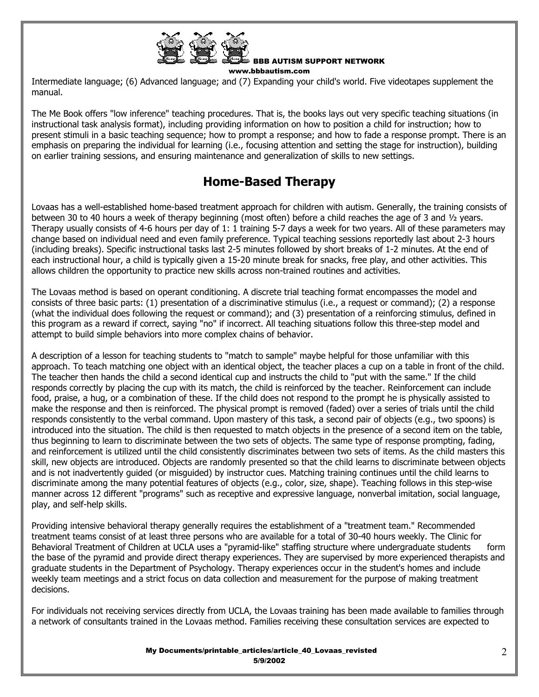

BBB AUTISM SUPPORT NETWORK

www.bbbautism.com

Intermediate language; (6) Advanced language; and (7) Expanding your child's world. Five videotapes supplement the manual.

The Me Book offers "low inference" teaching procedures. That is, the books lays out very specific teaching situations (in instructional task analysis format), including providing information on how to position a child for instruction; how to present stimuli in a basic teaching sequence; how to prompt a response; and how to fade a response prompt. There is an emphasis on preparing the individual for learning (i.e., focusing attention and setting the stage for instruction), building on earlier training sessions, and ensuring maintenance and generalization of skills to new settings.

# **Home-Based Therapy**

Lovaas has a well-established home-based treatment approach for children with autism. Generally, the training consists of between 30 to 40 hours a week of therapy beginning (most often) before a child reaches the age of 3 and ½ years. Therapy usually consists of 4-6 hours per day of 1: 1 training 5-7 days a week for two years. All of these parameters may change based on individual need and even family preference. Typical teaching sessions reportedly last about 2-3 hours (including breaks). Specific instructional tasks last 2-5 minutes followed by short breaks of 1-2 minutes. At the end of each instructional hour, a child is typically given a 15-20 minute break for snacks, free play, and other activities. This allows children the opportunity to practice new skills across non-trained routines and activities.

The Lovaas method is based on operant conditioning. A discrete trial teaching format encompasses the model and consists of three basic parts: (1) presentation of a discriminative stimulus (i.e., a request or command); (2) a response (what the individual does following the request or command); and (3) presentation of a reinforcing stimulus, defined in this program as a reward if correct, saying "no" if incorrect. All teaching situations follow this three-step model and attempt to build simple behaviors into more complex chains of behavior.

A description of a lesson for teaching students to "match to sample" maybe helpful for those unfamiliar with this approach. To teach matching one object with an identical object, the teacher places a cup on a table in front of the child. The teacher then hands the child a second identical cup and instructs the child to "put with the same." If the child responds correctly by placing the cup with its match, the child is reinforced by the teacher. Reinforcement can include food, praise, a hug, or a combination of these. If the child does not respond to the prompt he is physically assisted to make the response and then is reinforced. The physical prompt is removed (faded) over a series of trials until the child responds consistently to the verbal command. Upon mastery of this task, a second pair of objects (e.g., two spoons) is introduced into the situation. The child is then requested to match objects in the presence of a second item on the table, thus beginning to learn to discriminate between the two sets of objects. The same type of response prompting, fading, and reinforcement is utilized until the child consistently discriminates between two sets of items. As the child masters this skill, new objects are introduced. Objects are randomly presented so that the child learns to discriminate between objects and is not inadvertently guided (or misguided) by instructor cues. Matching training continues until the child learns to discriminate among the many potential features of objects (e.g., color, size, shape). Teaching follows in this step-wise manner across 12 different "programs" such as receptive and expressive language, nonverbal imitation, social language, play, and self-help skills.

Providing intensive behavioral therapy generally requires the establishment of a "treatment team." Recommended treatment teams consist of at least three persons who are available for a total of 30-40 hours weekly. The Clinic for Behavioral Treatment of Children at UCLA uses a "pyramid-like" staffing structure where undergraduate students form the base of the pyramid and provide direct therapy experiences. They are supervised by more experienced therapists and graduate students in the Department of Psychology. Therapy experiences occur in the student's homes and include weekly team meetings and a strict focus on data collection and measurement for the purpose of making treatment decisions.

For individuals not receiving services directly from UCLA, the Lovaas training has been made available to families through a network of consultants trained in the Lovaas method. Families receiving these consultation services are expected to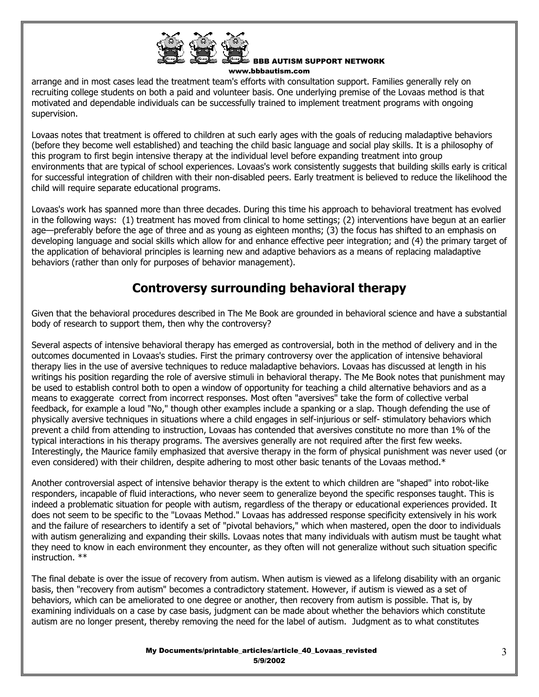

BBB AUTISM SUPPORT NETWORK

www.bbbautism.com

arrange and in most cases lead the treatment team's efforts with consultation support. Families generally rely on recruiting college students on both a paid and volunteer basis. One underlying premise of the Lovaas method is that motivated and dependable individuals can be successfully trained to implement treatment programs with ongoing supervision.

Lovaas notes that treatment is offered to children at such early ages with the goals of reducing maladaptive behaviors (before they become well established) and teaching the child basic language and social play skills. It is a philosophy of this program to first begin intensive therapy at the individual level before expanding treatment into group environments that are typical of school experiences. Lovaas's work consistently suggests that building skills early is critical for successful integration of children with their non-disabled peers. Early treatment is believed to reduce the likelihood the child will require separate educational programs.

Lovaas's work has spanned more than three decades. During this time his approach to behavioral treatment has evolved in the following ways: (1) treatment has moved from clinical to home settings; (2) interventions have begun at an earlier age—preferably before the age of three and as young as eighteen months; (3) the focus has shifted to an emphasis on developing language and social skills which allow for and enhance effective peer integration; and (4) the primary target of the application of behavioral principles is learning new and adaptive behaviors as a means of replacing maladaptive behaviors (rather than only for purposes of behavior management).

# **Controversy surrounding behavioral therapy**

Given that the behavioral procedures described in The Me Book are grounded in behavioral science and have a substantial body of research to support them, then why the controversy?

Several aspects of intensive behavioral therapy has emerged as controversial, both in the method of delivery and in the outcomes documented in Lovaas's studies. First the primary controversy over the application of intensive behavioral therapy lies in the use of aversive techniques to reduce maladaptive behaviors. Lovaas has discussed at length in his writings his position regarding the role of aversive stimuli in behavioral therapy. The Me Book notes that punishment may be used to establish control both to open a window of opportunity for teaching a child alternative behaviors and as a means to exaggerate correct from incorrect responses. Most often "aversives" take the form of collective verbal feedback, for example a loud "No," though other examples include a spanking or a slap. Though defending the use of physically aversive techniques in situations where a child engages in self-injurious or self- stimulatory behaviors which prevent a child from attending to instruction, Lovaas has contended that aversives constitute no more than 1% of the typical interactions in his therapy programs. The aversives generally are not required after the first few weeks. Interestingly, the Maurice family emphasized that aversive therapy in the form of physical punishment was never used (or even considered) with their children, despite adhering to most other basic tenants of the Lovaas method.\*

Another controversial aspect of intensive behavior therapy is the extent to which children are "shaped" into robot-like responders, incapable of fluid interactions, who never seem to generalize beyond the specific responses taught. This is indeed a problematic situation for people with autism, regardless of the therapy or educational experiences provided. It does not seem to be specific to the "Lovaas Method." Lovaas has addressed response specificity extensively in his work and the failure of researchers to identify a set of "pivotal behaviors," which when mastered, open the door to individuals with autism generalizing and expanding their skills. Lovaas notes that many individuals with autism must be taught what they need to know in each environment they encounter, as they often will not generalize without such situation specific instruction. \*\*

The final debate is over the issue of recovery from autism. When autism is viewed as a lifelong disability with an organic basis, then "recovery from autism" becomes a contradictory statement. However, if autism is viewed as a set of behaviors, which can be ameliorated to one degree or another, then recovery from autism is possible. That is, by examining individuals on a case by case basis, judgment can be made about whether the behaviors which constitute autism are no longer present, thereby removing the need for the label of autism. Judgment as to what constitutes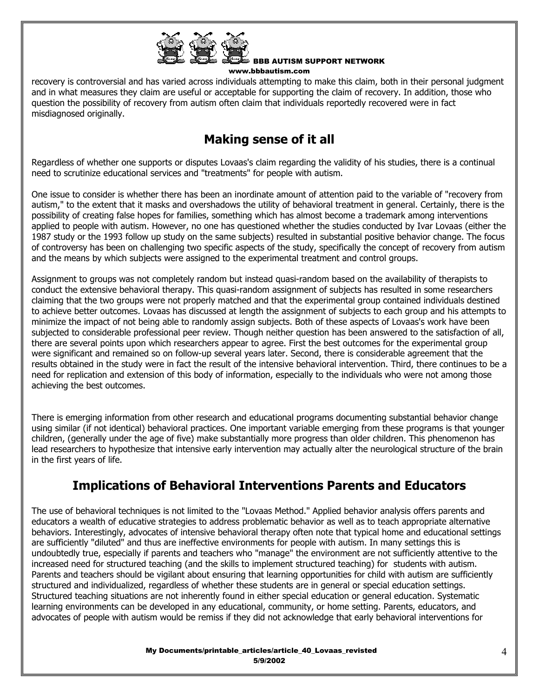

recovery is controversial and has varied across individuals attempting to make this claim, both in their personal judgment and in what measures they claim are useful or acceptable for supporting the claim of recovery. In addition, those who question the possibility of recovery from autism often claim that individuals reportedly recovered were in fact misdiagnosed originally.

# **Making sense of it all**

Regardless of whether one supports or disputes Lovaas's claim regarding the validity of his studies, there is a continual need to scrutinize educational services and "treatments" for people with autism.

One issue to consider is whether there has been an inordinate amount of attention paid to the variable of "recovery from autism," to the extent that it masks and overshadows the utility of behavioral treatment in general. Certainly, there is the possibility of creating false hopes for families, something which has almost become a trademark among interventions applied to people with autism. However, no one has questioned whether the studies conducted by Ivar Lovaas (either the 1987 study or the 1993 follow up study on the same subjects) resulted in substantial positive behavior change. The focus of controversy has been on challenging two specific aspects of the study, specifically the concept of recovery from autism and the means by which subjects were assigned to the experimental treatment and control groups.

Assignment to groups was not completely random but instead quasi-random based on the availability of therapists to conduct the extensive behavioral therapy. This quasi-random assignment of subjects has resulted in some researchers claiming that the two groups were not properly matched and that the experimental group contained individuals destined to achieve better outcomes. Lovaas has discussed at length the assignment of subjects to each group and his attempts to minimize the impact of not being able to randomly assign subjects. Both of these aspects of Lovaas's work have been subjected to considerable professional peer review. Though neither question has been answered to the satisfaction of all, there are several points upon which researchers appear to agree. First the best outcomes for the experimental group were significant and remained so on follow-up several years later. Second, there is considerable agreement that the results obtained in the study were in fact the result of the intensive behavioral intervention. Third, there continues to be a need for replication and extension of this body of information, especially to the individuals who were not among those achieving the best outcomes.

There is emerging information from other research and educational programs documenting substantial behavior change using similar (if not identical) behavioral practices. One important variable emerging from these programs is that younger children, (generally under the age of five) make substantially more progress than older children. This phenomenon has lead researchers to hypothesize that intensive early intervention may actually alter the neurological structure of the brain in the first years of life.

## **Implications of Behavioral Interventions Parents and Educators**

The use of behavioral techniques is not limited to the "Lovaas Method." Applied behavior analysis offers parents and educators a wealth of educative strategies to address problematic behavior as well as to teach appropriate alternative behaviors. Interestingly, advocates of intensive behavioral therapy often note that typical home and educational settings are sufficiently "diluted" and thus are ineffective environments for people with autism. In many settings this is undoubtedly true, especially if parents and teachers who "manage" the environment are not sufficiently attentive to the increased need for structured teaching (and the skills to implement structured teaching) for students with autism. Parents and teachers should be vigilant about ensuring that learning opportunities for child with autism are sufficiently structured and individualized, regardless of whether these students are in general or special education settings. Structured teaching situations are not inherently found in either special education or general education. Systematic learning environments can be developed in any educational, community, or home setting. Parents, educators, and advocates of people with autism would be remiss if they did not acknowledge that early behavioral interventions for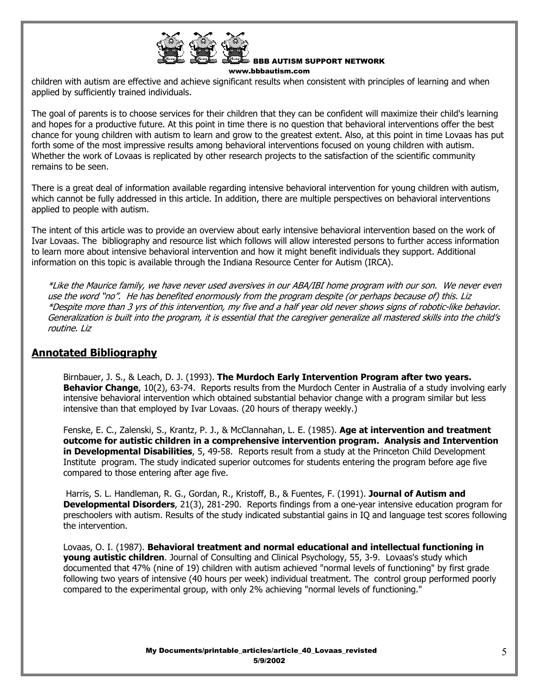

children with autism are effective and achieve significant results when consistent with principles of learning and when applied by sufficiently trained individuals.

The goal of parents is to choose services for their children that they can be confident will maximize their child's learning and hopes for a productive future. At this point in time there is no question that behavioral interventions offer the best chance for young children with autism to learn and grow to the greatest extent. Also, at this point in time Lovaas has put forth some of the most impressive results among behavioral interventions focused on young children with autism. Whether the work of Lovaas is replicated by other research projects to the satisfaction of the scientific community remains to be seen.

There is a great deal of information available regarding intensive behavioral intervention for young children with autism, which cannot be fully addressed in this article. In addition, there are multiple perspectives on behavioral interventions applied to people with autism.

The intent of this article was to provide an overview about early intensive behavioral intervention based on the work of Ivar Lovaas. The bibliography and resource list which follows will allow interested persons to further access information to learn more about intensive behavioral intervention and how it might benefit individuals they support. Additional information on this topic is available through the Indiana Resource Center for Autism (IRCA).

\*Like the Maurice family, we have never used aversives in our ABA/IBI home program with our son. We never even use the word "no". He has benefited enormously from the program despite (or perhaps because of) this. Liz \*Despite more than 3 yrs of this intervention, my five and a half year old never shows signs of robotic-like behavior. Generalization is built into the program, it is essential that the caregiver generalize all mastered skills into the child's routine. Liz

## **Annotated Bibliography**

Birnbauer, J. S., & Leach, D. J. (1993). **The Murdoch Early Intervention Program after two years. Behavior Change**, 10(2), 63-74. Reports results from the Murdoch Center in Australia of a study involving early intensive behavioral intervention which obtained substantial behavior change with a program similar but less intensive than that employed by Ivar Lovaas. (20 hours of therapy weekly.)

Fenske, E. C., Zalenski, S., Krantz, P. J., & McClannahan, L. E. (1985). **Age at intervention and treatment outcome for autistic children in a comprehensive intervention program. Analysis and Intervention in Developmental Disabilities**, 5, 49-58. Reports result from a study at the Princeton Child Development Institute program. The study indicated superior outcomes for students entering the program before age five compared to those entering after age five.

Harris, S. L. Handleman, R. G., Gordan, R., Kristoff, B., & Fuentes, F. (1991). **Journal of Autism and Developmental Disorders**, 21(3), 281-290. Reports findings from a one-year intensive education program for preschoolers with autism. Results of the study indicated substantial gains in IQ and language test scores following the intervention.

Lovaas, O. I. (1987). **Behavioral treatment and normal educational and intellectual functioning in young autistic children**. Journal of Consulting and Clinical Psychology, 55, 3-9. Lovaas's study which documented that 47% (nine of 19) children with autism achieved "normal levels of functioning" by first grade following two years of intensive (40 hours per week) individual treatment. The control group performed poorly compared to the experimental group, with only 2% achieving "normal levels of functioning."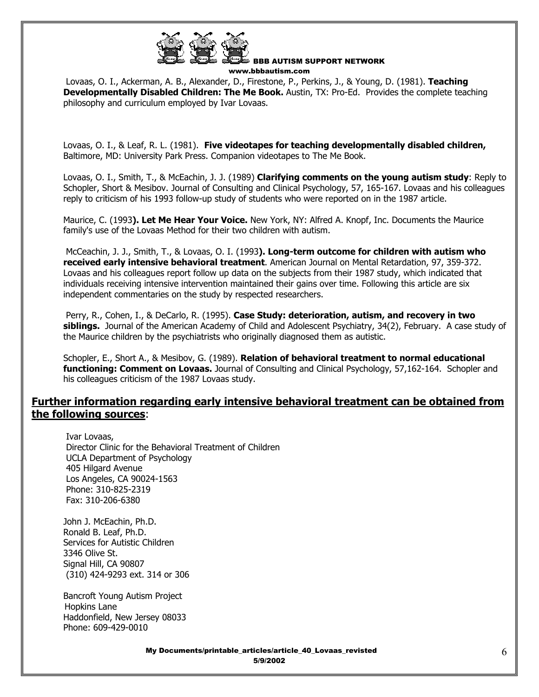

Lovaas, O. I., Ackerman, A. B., Alexander, D., Firestone, P., Perkins, J., & Young, D. (1981). **Teaching Developmentally Disabled Children: The Me Book.** Austin, TX: Pro-Ed. Provides the complete teaching philosophy and curriculum employed by Ivar Lovaas.

Lovaas, O. I., & Leaf, R. L. (1981). **Five videotapes for teaching developmentally disabled children,** Baltimore, MD: University Park Press. Companion videotapes to The Me Book.

Lovaas, O. I., Smith, T., & McEachin, J. J. (1989) **Clarifying comments on the young autism study**: Reply to Schopler, Short & Mesibov. Journal of Consulting and Clinical Psychology, 57, 165-167. Lovaas and his colleagues reply to criticism of his 1993 follow-up study of students who were reported on in the 1987 article.

Maurice, C. (1993**). Let Me Hear Your Voice.** New York, NY: Alfred A. Knopf, Inc. Documents the Maurice family's use of the Lovaas Method for their two children with autism.

McCeachin, J. J., Smith, T., & Lovaas, O. I. (1993**). Long-term outcome for children with autism who received early intensive behavioral treatment**. American Journal on Mental Retardation, 97, 359-372. Lovaas and his colleagues report follow up data on the subjects from their 1987 study, which indicated that individuals receiving intensive intervention maintained their gains over time. Following this article are six independent commentaries on the study by respected researchers.

Perry, R., Cohen, I., & DeCarlo, R. (1995). **Case Study: deterioration, autism, and recovery in two siblings.** Journal of the American Academy of Child and Adolescent Psychiatry, 34(2), February. A case study of the Maurice children by the psychiatrists who originally diagnosed them as autistic.

Schopler, E., Short A., & Mesibov, G. (1989). **Relation of behavioral treatment to normal educational functioning: Comment on Lovaas.** Journal of Consulting and Clinical Psychology, 57,162-164. Schopler and his colleagues criticism of the 1987 Lovaas study.

## **Further information regarding early intensive behavioral treatment can be obtained from the following sources**:

 Ivar Lovaas, Director Clinic for the Behavioral Treatment of Children UCLA Department of Psychology 405 Hilgard Avenue Los Angeles, CA 90024-1563 Phone: 310-825-2319 Fax: 310-206-6380

 John J. McEachin, Ph.D. Ronald B. Leaf, Ph.D. Services for Autistic Children 3346 Olive St. Signal Hill, CA 90807 (310) 424-9293 ext. 314 or 306

 Bancroft Young Autism Project Hopkins Lane Haddonfield, New Jersey 08033 Phone: 609-429-0010

> My Documents/printable\_articles/article\_40\_Lovaas\_revisted 5/9/2002